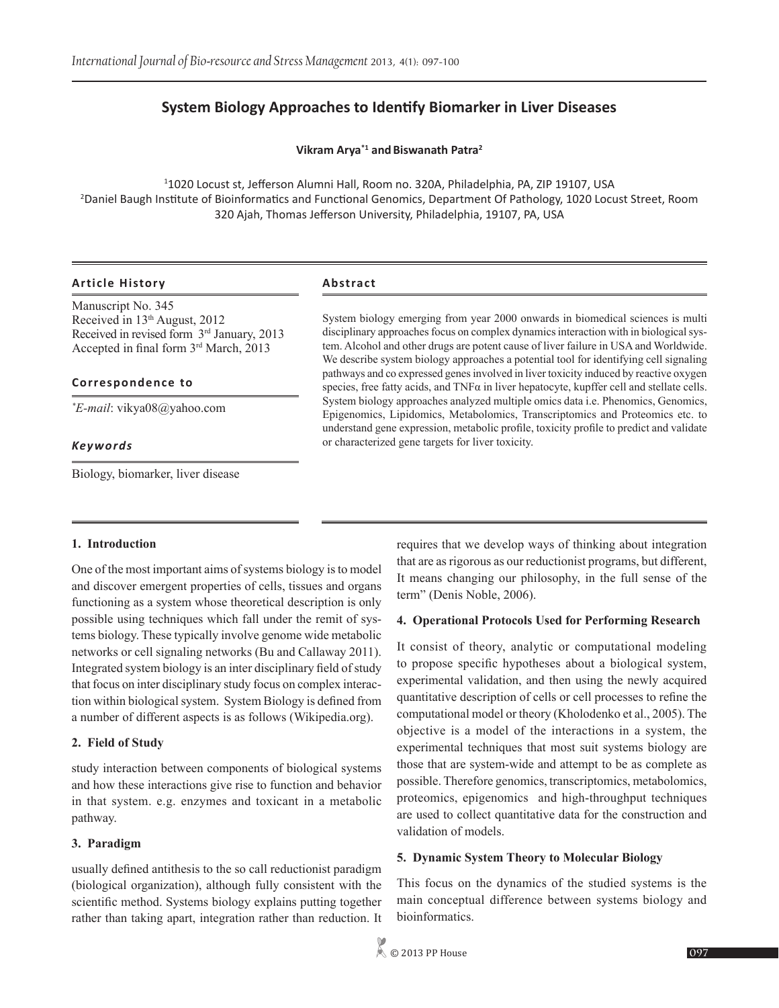# **System Biology Approaches to Identify Biomarker in Liver Diseases**

**Vikram Arya\*1 andBiswanath Patra2**

1 1020 Locust st, Jefferson Alumni Hall, Room no. 320A, Philadelphia, PA, ZIP 19107, USA 2 Daniel Baugh Institute of Bioinformatics and Functional Genomics, Department Of Pathology, 1020 Locust Street, Room 320 Ajah, Thomas Jefferson University, Philadelphia, 19107, PA, USA

### **Article History Abstract**

Manuscript No. 345 Received in 13th August, 2012 Received in revised form 3rd January, 2013 Accepted in final form 3rd March, 2013

#### **Correspondence to**

*\* E-mail*: vikya08@yahoo.com

### *Keywords*

Biology, biomarker, liver disease

System biology emerging from year 2000 onwards in biomedical sciences is multi disciplinary approaches focus on complex dynamics interaction with in biological system. Alcohol and other drugs are potent cause of liver failure in USA and Worldwide. We describe system biology approaches a potential tool for identifying cell signaling pathways and co expressed genes involved in liver toxicity induced by reactive oxygen species, free fatty acids, and  $TNF\alpha$  in liver hepatocyte, kupffer cell and stellate cells. System biology approaches analyzed multiple omics data i.e. Phenomics, Genomics, Epigenomics, Lipidomics, Metabolomics, Transcriptomics and Proteomics etc. to understand gene expression, metabolic profile, toxicity profile to predict and validate or characterized gene targets for liver toxicity.

### **1. Introduction**

One of the most important aims of systems biology is to model and discover emergent properties of cells, tissues and organs functioning as a system whose theoretical description is only possible using techniques which fall under the remit of systems biology. These typically involve genome wide metabolic networks or cell signaling networks (Bu and Callaway 2011). Integrated system biology is an inter disciplinary field of study that focus on inter disciplinary study focus on complex interaction within biological system. System Biology is defined from a number of different aspects is as follows (Wikipedia.org).

### **2. Field of Study**

study interaction between components of biological systems and how these interactions give rise to function and behavior in that system. e.g. enzymes and toxicant in a metabolic pathway.

### **3. Paradigm**

usually defined antithesis to the so call reductionist paradigm (biological organization), although fully consistent with the scientific method. Systems biology explains putting together rather than taking apart, integration rather than reduction. It requires that we develop ways of thinking about integration that are as rigorous as our reductionist programs, but different, It means changing our philosophy, in the full sense of the term" (Denis Noble, 2006).

### **4. Operational Protocols Used for Performing Research**

It consist of theory, analytic or computational modeling to propose specific hypotheses about a biological system, experimental validation, and then using the newly acquired quantitative description of cells or cell processes to refine the computational model or theory (Kholodenko et al., 2005). The objective is a model of the interactions in a system, the experimental techniques that most suit systems biology are those that are system-wide and attempt to be as complete as possible. Therefore genomics, transcriptomics, metabolomics, proteomics, epigenomics and high-throughput techniques are used to collect quantitative data for the construction and validation of models.

### **5. Dynamic System Theory to Molecular Biology**

This focus on the dynamics of the studied systems is the main conceptual difference between systems biology and bioinformatics.

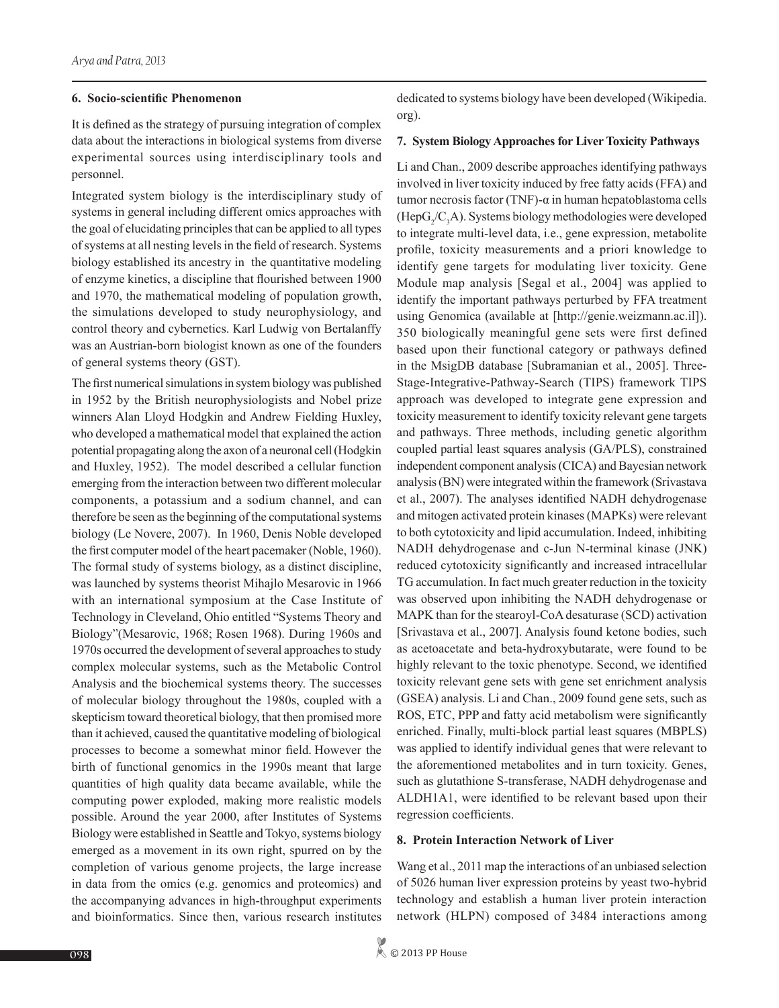#### **6. Socio-scientific Phenomenon**

It is defined as the strategy of pursuing integration of complex data about the interactions in biological systems from diverse experimental sources using interdisciplinary tools and personnel.

Integrated system biology is the interdisciplinary study of systems in general including different omics approaches with the goal of elucidating principles that can be applied to all types of systems at all nesting levels in the field of research. Systems biology established its ancestry in the quantitative modeling of enzyme kinetics, a discipline that flourished between 1900 and 1970, the mathematical modeling of population growth, the simulations developed to study neurophysiology, and control theory and cybernetics. Karl Ludwig von Bertalanffy was an Austrian-born biologist known as one of the founders of general systems theory (GST).

The first numerical simulations in system biology was published in 1952 by the British neurophysiologists and Nobel prize winners Alan Lloyd Hodgkin and Andrew Fielding Huxley, who developed a mathematical model that explained the action potential propagating along the axon of a neuronal cell (Hodgkin and Huxley, 1952). The model described a cellular function emerging from the interaction between two different molecular components, a potassium and a sodium channel, and can therefore be seen as the beginning of the computational systems biology (Le Novere, 2007). In 1960, Denis Noble developed the first computer model of the heart pacemaker (Noble, 1960). The formal study of systems biology, as a distinct discipline, was launched by systems theorist Mihajlo Mesarovic in 1966 with an international symposium at the Case Institute of Technology in Cleveland, Ohio entitled "Systems Theory and Biology"(Mesarovic, 1968; Rosen 1968). During 1960s and 1970s occurred the development of several approaches to study complex molecular systems, such as the Metabolic Control Analysis and the biochemical systems theory. The successes of molecular biology throughout the 1980s, coupled with a skepticism toward theoretical biology, that then promised more than it achieved, caused the quantitative modeling of biological processes to become a somewhat minor field. However the birth of functional genomics in the 1990s meant that large quantities of high quality data became available, while the computing power exploded, making more realistic models possible. Around the year 2000, after Institutes of Systems Biology were established in Seattle and Tokyo, systems biology emerged as a movement in its own right, spurred on by the completion of various genome projects, the large increase in data from the omics (e.g. genomics and proteomics) and the accompanying advances in high-throughput experiments and bioinformatics. Since then, various research institutes

dedicated to systems biology have been developed (Wikipedia. org).

#### **7. System Biology Approaches for Liver Toxicity Pathways**

Li and Chan., 2009 describe approaches identifying pathways involved in liver toxicity induced by free fatty acids (FFA) and tumor necrosis factor (TNF)-α in human hepatoblastoma cells  $(HepG_2/C_3A)$ . Systems biology methodologies were developed to integrate multi-level data, i.e., gene expression, metabolite profile, toxicity measurements and a priori knowledge to identify gene targets for modulating liver toxicity. Gene Module map analysis [Segal et al., 2004] was applied to identify the important pathways perturbed by FFA treatment using Genomica (available at [http://genie.weizmann.ac.il]). 350 biologically meaningful gene sets were first defined based upon their functional category or pathways defined in the MsigDB database [Subramanian et al., 2005]. Three-Stage-Integrative-Pathway-Search (TIPS) framework TIPS approach was developed to integrate gene expression and toxicity measurement to identify toxicity relevant gene targets and pathways. Three methods, including genetic algorithm coupled partial least squares analysis (GA/PLS), constrained independent component analysis (CICA) and Bayesian network analysis (BN) were integrated within the framework (Srivastava et al., 2007). The analyses identified NADH dehydrogenase and mitogen activated protein kinases (MAPKs) were relevant to both cytotoxicity and lipid accumulation. Indeed, inhibiting NADH dehydrogenase and c-Jun N-terminal kinase (JNK) reduced cytotoxicity significantly and increased intracellular TG accumulation. In fact much greater reduction in the toxicity was observed upon inhibiting the NADH dehydrogenase or MAPK than for the stearoyl-CoA desaturase (SCD) activation [Srivastava et al., 2007]. Analysis found ketone bodies, such as acetoacetate and beta-hydroxybutarate, were found to be highly relevant to the toxic phenotype. Second, we identified toxicity relevant gene sets with gene set enrichment analysis (GSEA) analysis. Li and Chan., 2009 found gene sets, such as ROS, ETC, PPP and fatty acid metabolism were significantly enriched. Finally, multi-block partial least squares (MBPLS) was applied to identify individual genes that were relevant to the aforementioned metabolites and in turn toxicity. Genes, such as glutathione S-transferase, NADH dehydrogenase and ALDH1A1, were identified to be relevant based upon their regression coefficients.

### **8. Protein Interaction Network of Liver**

Wang et al., 2011 map the interactions of an unbiased selection of 5026 human liver expression proteins by yeast two-hybrid technology and establish a human liver protein interaction network (HLPN) composed of 3484 interactions among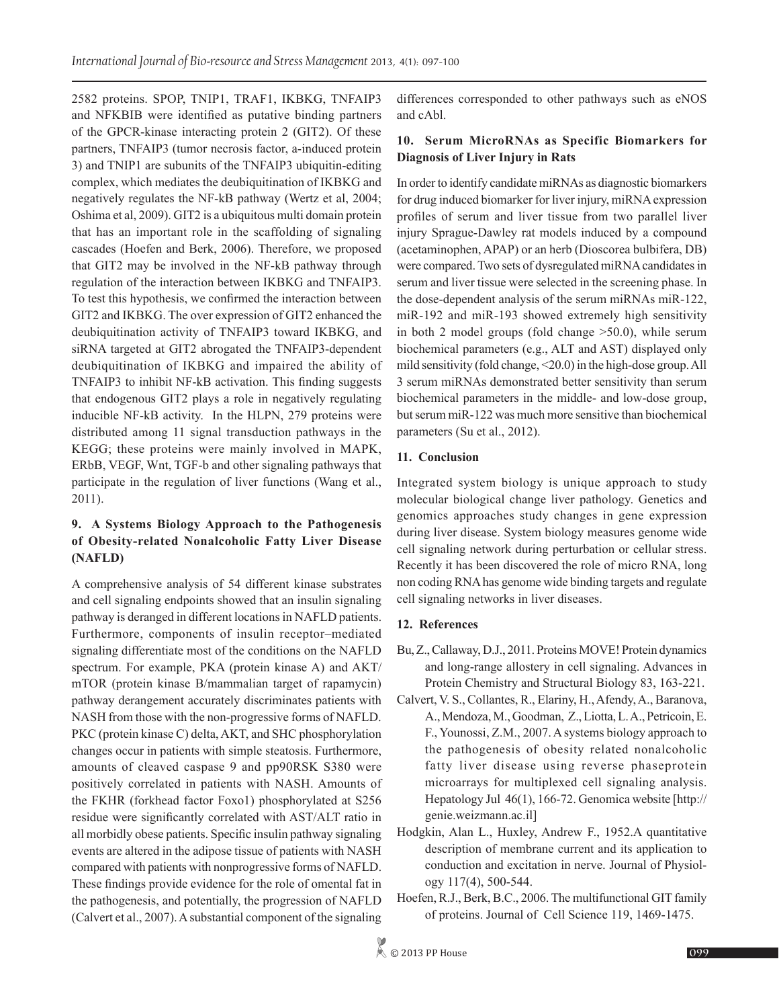2582 proteins. SPOP, TNIP1, TRAF1, IKBKG, TNFAIP3 and NFKBIB were identified as putative binding partners of the GPCR-kinase interacting protein 2 (GIT2). Of these partners, TNFAIP3 (tumor necrosis factor, a-induced protein 3) and TNIP1 are subunits of the TNFAIP3 ubiquitin-editing complex, which mediates the deubiquitination of IKBKG and negatively regulates the NF-kB pathway (Wertz et al, 2004; Oshima et al, 2009). GIT2 is a ubiquitous multi domain protein that has an important role in the scaffolding of signaling cascades (Hoefen and Berk, 2006). Therefore, we proposed that GIT2 may be involved in the NF-kB pathway through regulation of the interaction between IKBKG and TNFAIP3. To test this hypothesis, we confirmed the interaction between GIT2 and IKBKG. The over expression of GIT2 enhanced the deubiquitination activity of TNFAIP3 toward IKBKG, and siRNA targeted at GIT2 abrogated the TNFAIP3-dependent deubiquitination of IKBKG and impaired the ability of TNFAIP3 to inhibit NF-kB activation. This finding suggests that endogenous GIT2 plays a role in negatively regulating inducible NF-kB activity. In the HLPN, 279 proteins were distributed among 11 signal transduction pathways in the KEGG; these proteins were mainly involved in MAPK, ERbB, VEGF, Wnt, TGF-b and other signaling pathways that participate in the regulation of liver functions (Wang et al., 2011).

# **9. A Systems Biology Approach to the Pathogenesis of Obesity-related Nonalcoholic Fatty Liver Disease (NAFLD)**

A comprehensive analysis of 54 different kinase substrates and cell signaling endpoints showed that an insulin signaling pathway is deranged in different locations in NAFLD patients. Furthermore, components of insulin receptor–mediated signaling differentiate most of the conditions on the NAFLD spectrum. For example, PKA (protein kinase A) and AKT/ mTOR (protein kinase B/mammalian target of rapamycin) pathway derangement accurately discriminates patients with NASH from those with the non-progressive forms of NAFLD. PKC (protein kinase C) delta, AKT, and SHC phosphorylation changes occur in patients with simple steatosis. Furthermore, amounts of cleaved caspase 9 and pp90RSK S380 were positively correlated in patients with NASH. Amounts of the FKHR (forkhead factor Foxo1) phosphorylated at S256 residue were significantly correlated with AST/ALT ratio in all morbidly obese patients. Specific insulin pathway signaling events are altered in the adipose tissue of patients with NASH compared with patients with nonprogressive forms of NAFLD. These findings provide evidence for the role of omental fat in the pathogenesis, and potentially, the progression of NAFLD (Calvert et al., 2007). A substantial component of the signaling

differences corresponded to other pathways such as eNOS and cAbl.

# **10. Serum MicroRNAs as Specific Biomarkers for Diagnosis of Liver Injury in Rats**

In order to identify candidate miRNAs as diagnostic biomarkers for drug induced biomarker for liver injury, miRNA expression profiles of serum and liver tissue from two parallel liver injury Sprague-Dawley rat models induced by a compound (acetaminophen, APAP) or an herb (Dioscorea bulbifera, DB) were compared. Two sets of dysregulated miRNA candidates in serum and liver tissue were selected in the screening phase. In the dose-dependent analysis of the serum miRNAs miR-122, miR-192 and miR-193 showed extremely high sensitivity in both 2 model groups (fold change >50.0), while serum biochemical parameters (e.g., ALT and AST) displayed only mild sensitivity (fold change, <20.0) in the high-dose group. All 3 serum miRNAs demonstrated better sensitivity than serum biochemical parameters in the middle- and low-dose group, but serum miR-122 was much more sensitive than biochemical parameters (Su et al., 2012).

# **11. Conclusion**

Integrated system biology is unique approach to study molecular biological change liver pathology. Genetics and genomics approaches study changes in gene expression during liver disease. System biology measures genome wide cell signaling network during perturbation or cellular stress. Recently it has been discovered the role of micro RNA, long non coding RNA has genome wide binding targets and regulate cell signaling networks in liver diseases.

# **12. References**

- Bu, Z., Callaway, D.J., 2011. Proteins MOVE! Protein dynamics and long-range allostery in cell signaling. Advances in Protein Chemistry and Structural Biology 83, 163-221.
- Calvert, V. S., Collantes, R., Elariny, H.,Afendy, A., Baranova, A.,Mendoza, M., Goodman, Z.,Liotta, L. A., Petricoin, E. F., Younossi, Z.M., 2007. Asystems biology approach to the pathogenesis of obesity related nonalcoholic fatty liver disease using reverse phaseprotein microarrays for multiplexed cell signaling analysis. Hepatology Jul 46(1), 166-72. Genomica website [http:// genie.weizmann.ac.il]
- Hodgkin, Alan L., Huxley, Andrew F., 1952.A quantitative description of membrane current and its application to conduction and excitation in nerve. Journal of Physiology 117(4), 500-544.
- Hoefen, R.J., Berk, B.C., 2006. The multifunctional GIT family of proteins. Journal of Cell Science 119, 1469-1475.